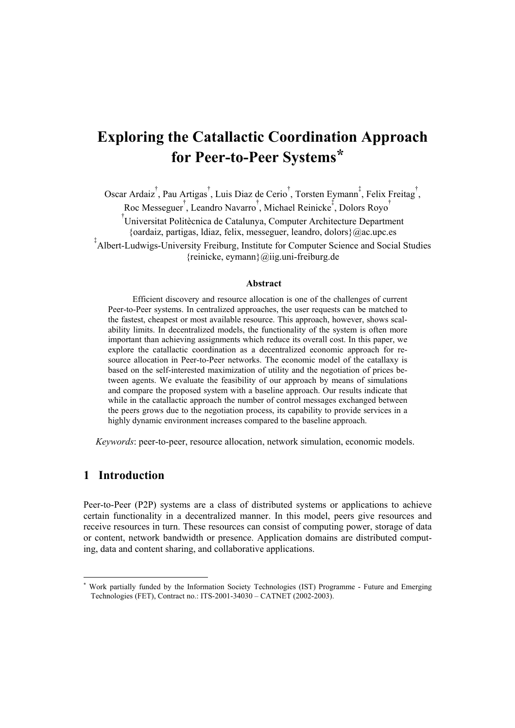# **Exploring the Catallactic Coordination Approach for Peer-to-Peer Systems\***

Oscar Ardaiz<sup>†</sup>, Pau Artigas<sup>†</sup>, Luis Diaz de Cerio<sup>†</sup>, Torsten Eymann<sup>‡</sup>, Felix Freitag<sup>†</sup>, Roc Messeguer<sup>†</sup>, Leandro Navarro<sup>†</sup>, Michael Reinicke<sup>‡</sup>, Dolors Royo<sup>†</sup>

† Universitat Politècnica de Catalunya, Computer Architecture Department {oardaiz, partigas, ldiaz, felix, messeguer, leandro, dolors}@ac.upc.es

‡ Albert-Ludwigs-University Freiburg, Institute for Computer Science and Social Studies {reinicke, eymann}@iig.uni-freiburg.de

#### **Abstract**

Efficient discovery and resource allocation is one of the challenges of current Peer-to-Peer systems. In centralized approaches, the user requests can be matched to the fastest, cheapest or most available resource. This approach, however, shows scalability limits. In decentralized models, the functionality of the system is often more important than achieving assignments which reduce its overall cost. In this paper, we explore the catallactic coordination as a decentralized economic approach for resource allocation in Peer-to-Peer networks. The economic model of the catallaxy is based on the self-interested maximization of utility and the negotiation of prices between agents. We evaluate the feasibility of our approach by means of simulations and compare the proposed system with a baseline approach. Our results indicate that while in the catallactic approach the number of control messages exchanged between the peers grows due to the negotiation process, its capability to provide services in a highly dynamic environment increases compared to the baseline approach.

*Keywords*: peer-to-peer, resource allocation, network simulation, economic models.

#### **1 Introduction**

l

Peer-to-Peer (P2P) systems are a class of distributed systems or applications to achieve certain functionality in a decentralized manner. In this model, peers give resources and receive resources in turn. These resources can consist of computing power, storage of data or content, network bandwidth or presence. Application domains are distributed computing, data and content sharing, and collaborative applications.

<sup>\*</sup> Work partially funded by the Information Society Technologies (IST) Programme - Future and Emerging Technologies (FET), Contract no.: ITS-2001-34030 – CATNET (2002-2003).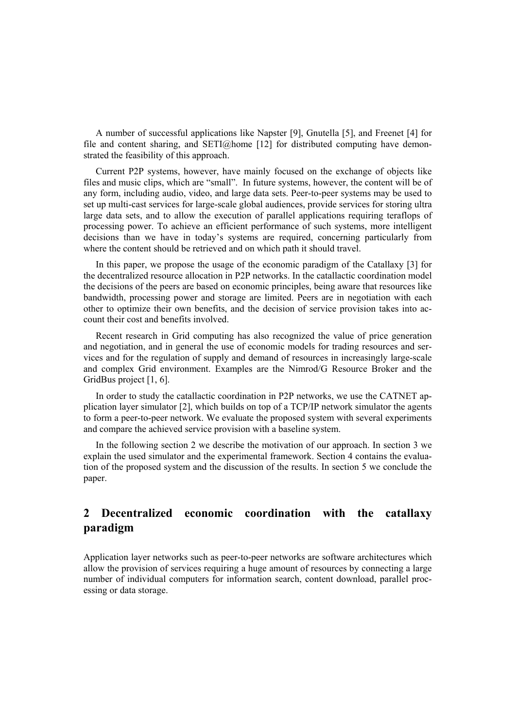A number of successful applications like Napster [9], Gnutella [5], and Freenet [4] for file and content sharing, and  $\text{SETI@home}$  [12] for distributed computing have demonstrated the feasibility of this approach.

Current P2P systems, however, have mainly focused on the exchange of objects like files and music clips, which are "small". In future systems, however, the content will be of any form, including audio, video, and large data sets. Peer-to-peer systems may be used to set up multi-cast services for large-scale global audiences, provide services for storing ultra large data sets, and to allow the execution of parallel applications requiring teraflops of processing power. To achieve an efficient performance of such systems, more intelligent decisions than we have in today's systems are required, concerning particularly from where the content should be retrieved and on which path it should travel.

In this paper, we propose the usage of the economic paradigm of the Catallaxy [3] for the decentralized resource allocation in P2P networks. In the catallactic coordination model the decisions of the peers are based on economic principles, being aware that resources like bandwidth, processing power and storage are limited. Peers are in negotiation with each other to optimize their own benefits, and the decision of service provision takes into account their cost and benefits involved.

Recent research in Grid computing has also recognized the value of price generation and negotiation, and in general the use of economic models for trading resources and services and for the regulation of supply and demand of resources in increasingly large-scale and complex Grid environment. Examples are the Nimrod/G Resource Broker and the GridBus project [1, 6].

In order to study the catallactic coordination in P2P networks, we use the CATNET application layer simulator [2], which builds on top of a TCP/IP network simulator the agents to form a peer-to-peer network. We evaluate the proposed system with several experiments and compare the achieved service provision with a baseline system.

In the following section 2 we describe the motivation of our approach. In section 3 we explain the used simulator and the experimental framework. Section 4 contains the evaluation of the proposed system and the discussion of the results. In section 5 we conclude the paper.

# **2 Decentralized economic coordination with the catallaxy paradigm**

Application layer networks such as peer-to-peer networks are software architectures which allow the provision of services requiring a huge amount of resources by connecting a large number of individual computers for information search, content download, parallel processing or data storage.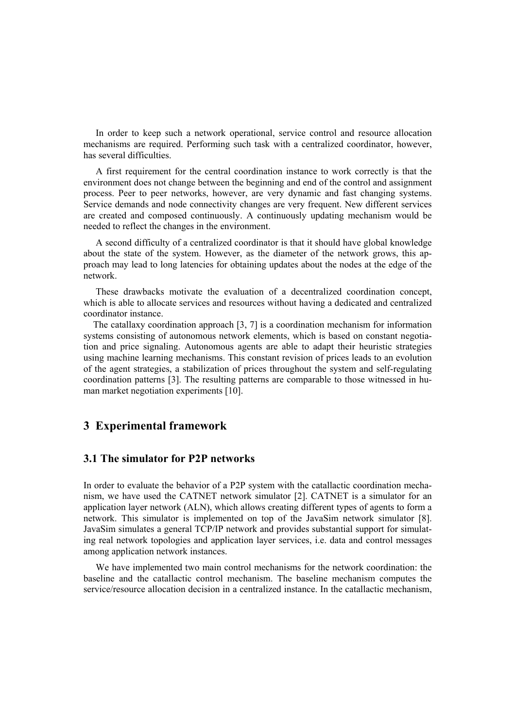In order to keep such a network operational, service control and resource allocation mechanisms are required. Performing such task with a centralized coordinator, however, has several difficulties.

A first requirement for the central coordination instance to work correctly is that the environment does not change between the beginning and end of the control and assignment process. Peer to peer networks, however, are very dynamic and fast changing systems. Service demands and node connectivity changes are very frequent. New different services are created and composed continuously. A continuously updating mechanism would be needed to reflect the changes in the environment.

A second difficulty of a centralized coordinator is that it should have global knowledge about the state of the system. However, as the diameter of the network grows, this approach may lead to long latencies for obtaining updates about the nodes at the edge of the network.

These drawbacks motivate the evaluation of a decentralized coordination concept, which is able to allocate services and resources without having a dedicated and centralized coordinator instance.

The catallaxy coordination approach [3, 7] is a coordination mechanism for information systems consisting of autonomous network elements, which is based on constant negotiation and price signaling. Autonomous agents are able to adapt their heuristic strategies using machine learning mechanisms. This constant revision of prices leads to an evolution of the agent strategies, a stabilization of prices throughout the system and self-regulating coordination patterns [3]. The resulting patterns are comparable to those witnessed in human market negotiation experiments [10].

### **3 Experimental framework**

#### **3.1 The simulator for P2P networks**

In order to evaluate the behavior of a P2P system with the catallactic coordination mechanism, we have used the CATNET network simulator [2]. CATNET is a simulator for an application layer network (ALN), which allows creating different types of agents to form a network. This simulator is implemented on top of the JavaSim network simulator [8]. JavaSim simulates a general TCP/IP network and provides substantial support for simulating real network topologies and application layer services, i.e. data and control messages among application network instances.

We have implemented two main control mechanisms for the network coordination: the baseline and the catallactic control mechanism. The baseline mechanism computes the service/resource allocation decision in a centralized instance. In the catallactic mechanism,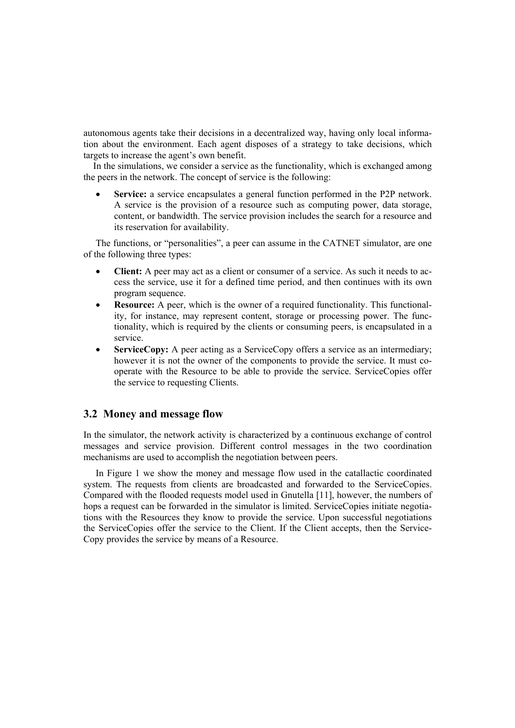autonomous agents take their decisions in a decentralized way, having only local information about the environment. Each agent disposes of a strategy to take decisions, which targets to increase the agent's own benefit.

In the simulations, we consider a service as the functionality, which is exchanged among the peers in the network. The concept of service is the following:

Service: a service encapsulates a general function performed in the P2P network. A service is the provision of a resource such as computing power, data storage, content, or bandwidth. The service provision includes the search for a resource and its reservation for availability.

The functions, or "personalities", a peer can assume in the CATNET simulator, are one of the following three types:

- **Client:** A peer may act as a client or consumer of a service. As such it needs to access the service, use it for a defined time period, and then continues with its own program sequence.
- **Resource:** A peer, which is the owner of a required functionality. This functionality, for instance, may represent content, storage or processing power. The functionality, which is required by the clients or consuming peers, is encapsulated in a service.
- **ServiceCopy:** A peer acting as a ServiceCopy offers a service as an intermediary; however it is not the owner of the components to provide the service. It must cooperate with the Resource to be able to provide the service. ServiceCopies offer the service to requesting Clients.

#### **3.2 Money and message flow**

In the simulator, the network activity is characterized by a continuous exchange of control messages and service provision. Different control messages in the two coordination mechanisms are used to accomplish the negotiation between peers.

In Figure 1 we show the money and message flow used in the catallactic coordinated system. The requests from clients are broadcasted and forwarded to the ServiceCopies. Compared with the flooded requests model used in Gnutella [11], however, the numbers of hops a request can be forwarded in the simulator is limited. ServiceCopies initiate negotiations with the Resources they know to provide the service. Upon successful negotiations the ServiceCopies offer the service to the Client. If the Client accepts, then the Service-Copy provides the service by means of a Resource.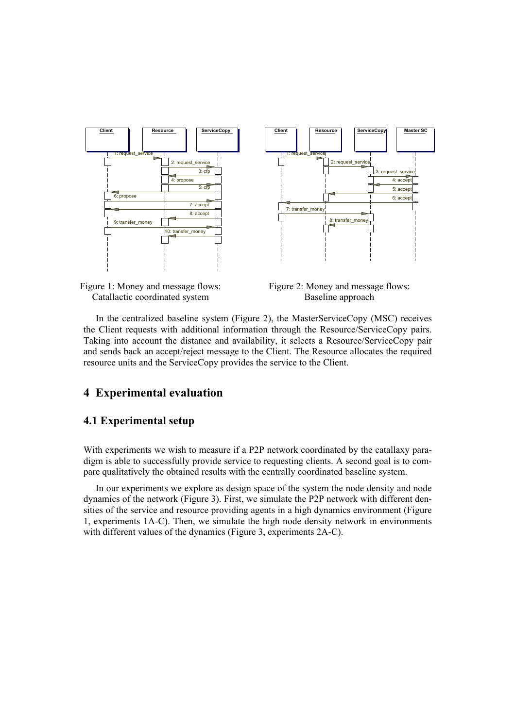



Figure 2: Money and message flows: Baseline approach

In the centralized baseline system (Figure 2), the MasterServiceCopy (MSC) receives the Client requests with additional information through the Resource/ServiceCopy pairs. Taking into account the distance and availability, it selects a Resource/ServiceCopy pair and sends back an accept/reject message to the Client. The Resource allocates the required resource units and the ServiceCopy provides the service to the Client.

#### **4 Experimental evaluation**

#### **4.1 Experimental setup**

With experiments we wish to measure if a P2P network coordinated by the catallaxy paradigm is able to successfully provide service to requesting clients. A second goal is to compare qualitatively the obtained results with the centrally coordinated baseline system.

In our experiments we explore as design space of the system the node density and node dynamics of the network (Figure 3). First, we simulate the P2P network with different densities of the service and resource providing agents in a high dynamics environment (Figure 1, experiments 1A-C). Then, we simulate the high node density network in environments with different values of the dynamics (Figure 3, experiments 2A-C).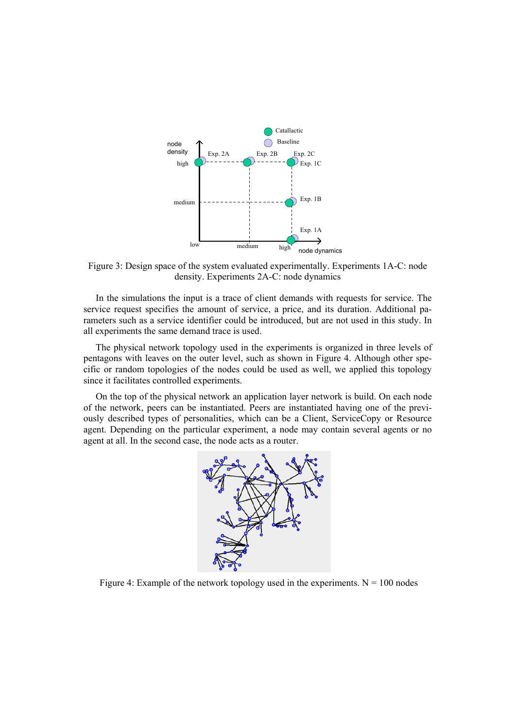

Figure 3: Design space of the system evaluated experimentally. Experiments 1A-C: node density. Experiments 2A-C: node dynamics

In the simulations the input is a trace of client demands with requests for service. The service request specifies the amount of service, a price, and its duration. Additional parameters such as a service identifier could be introduced, but are not used in this study. In all experiments the same demand trace is used.

The physical network topology used in the experiments is organized in three levels of pentagons with leaves on the outer level, such as shown in Figure 4. Although other specific or random topologies of the nodes could be used as well, we applied this topology since it facilitates controlled experiments.

On the top of the physical network an application layer network is build. On each node of the network, peers can be instantiated. Peers are instantiated having one of the previously described types of personalities, which can be a Client, ServiceCopy or Resource agent. Depending on the particular experiment, a node may contain several agents or no agent at all. In the second case, the node acts as a router.



Figure 4: Example of the network topology used in the experiments.  $N = 100$  nodes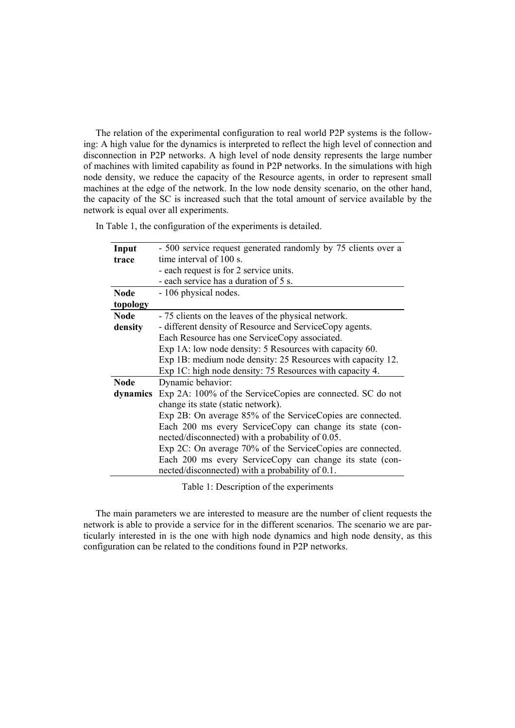The relation of the experimental configuration to real world P2P systems is the following: A high value for the dynamics is interpreted to reflect the high level of connection and disconnection in P2P networks. A high level of node density represents the large number of machines with limited capability as found in P2P networks. In the simulations with high node density, we reduce the capacity of the Resource agents, in order to represent small machines at the edge of the network. In the low node density scenario, on the other hand, the capacity of the SC is increased such that the total amount of service available by the network is equal over all experiments.

In Table 1, the configuration of the experiments is detailed.

|             | - 500 service request generated randomly by 75 clients over a |
|-------------|---------------------------------------------------------------|
| Input       |                                                               |
| trace       | time interval of 100 s.                                       |
|             | - each request is for 2 service units.                        |
|             | - each service has a duration of 5 s.                         |
| <b>Node</b> | - 106 physical nodes.                                         |
| topology    |                                                               |
| <b>Node</b> | - 75 clients on the leaves of the physical network.           |
| density     | - different density of Resource and ServiceCopy agents.       |
|             | Each Resource has one ServiceCopy associated.                 |
|             | Exp 1A: low node density: 5 Resources with capacity 60.       |
|             | Exp 1B: medium node density: 25 Resources with capacity 12.   |
|             | Exp 1C: high node density: 75 Resources with capacity 4.      |
| <b>Node</b> | Dynamic behavior:                                             |
| dynamics    | Exp 2A: 100% of the ServiceCopies are connected. SC do not    |
|             | change its state (static network).                            |
|             | Exp 2B: On average 85% of the ServiceCopies are connected.    |
|             | Each 200 ms every ServiceCopy can change its state (con-      |
|             | nected/disconnected) with a probability of 0.05.              |
|             | Exp 2C: On average 70% of the ServiceCopies are connected.    |
|             | Each 200 ms every ServiceCopy can change its state (con-      |
|             | nected/disconnected) with a probability of 0.1.               |
|             |                                                               |

Table 1: Description of the experiments

The main parameters we are interested to measure are the number of client requests the network is able to provide a service for in the different scenarios. The scenario we are particularly interested in is the one with high node dynamics and high node density, as this configuration can be related to the conditions found in P2P networks.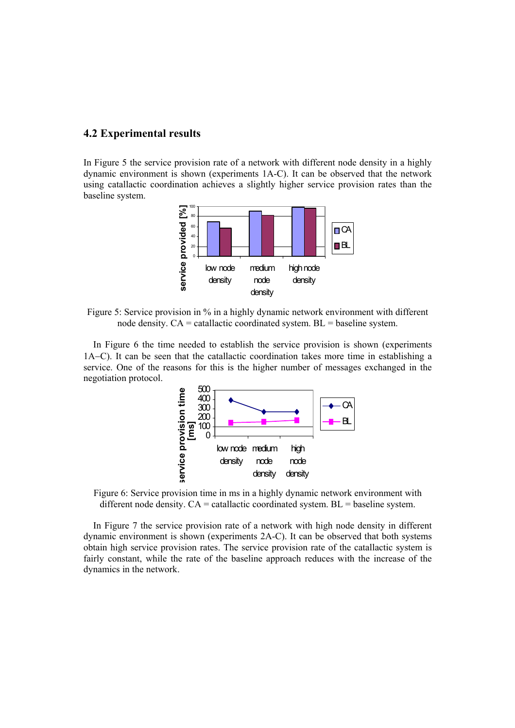#### **4.2 Experimental results**

In Figure 5 the service provision rate of a network with different node density in a highly dynamic environment is shown (experiments 1A-C). It can be observed that the network using catallactic coordination achieves a slightly higher service provision rates than the baseline system.



Figure 5: Service provision in % in a highly dynamic network environment with different node density.  $CA =$  catallactic coordinated system.  $BL =$  baseline system.

In Figure 6 the time needed to establish the service provision is shown (experiments 1A−C). It can be seen that the catallactic coordination takes more time in establishing a service. One of the reasons for this is the higher number of messages exchanged in the negotiation protocol.



Figure 6: Service provision time in ms in a highly dynamic network environment with different node density.  $CA =$  catallactic coordinated system.  $BL =$  baseline system.

In Figure 7 the service provision rate of a network with high node density in different dynamic environment is shown (experiments 2A-C). It can be observed that both systems obtain high service provision rates. The service provision rate of the catallactic system is fairly constant, while the rate of the baseline approach reduces with the increase of the dynamics in the network.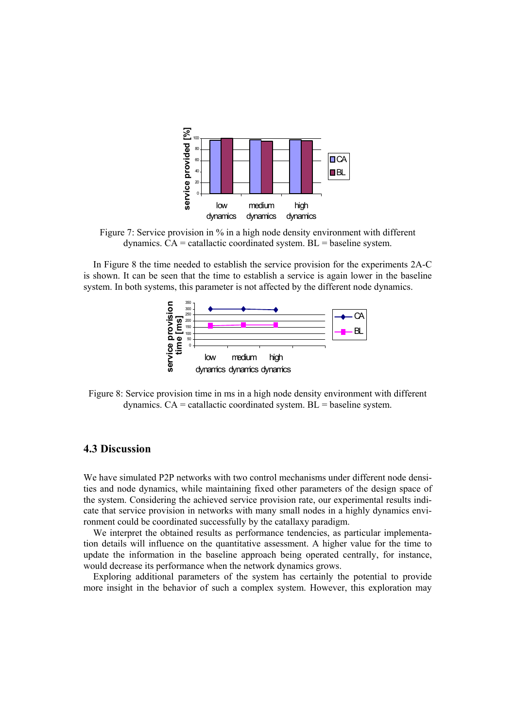

Figure 7: Service provision in % in a high node density environment with different dynamics.  $CA =$  catallactic coordinated system.  $BL =$  baseline system.

In Figure 8 the time needed to establish the service provision for the experiments 2A-C is shown. It can be seen that the time to establish a service is again lower in the baseline system. In both systems, this parameter is not affected by the different node dynamics.



Figure 8: Service provision time in ms in a high node density environment with different dynamics.  $CA =$  catallactic coordinated system.  $BL =$  baseline system.

#### **4.3 Discussion**

We have simulated P2P networks with two control mechanisms under different node densities and node dynamics, while maintaining fixed other parameters of the design space of the system. Considering the achieved service provision rate, our experimental results indicate that service provision in networks with many small nodes in a highly dynamics environment could be coordinated successfully by the catallaxy paradigm.

We interpret the obtained results as performance tendencies, as particular implementation details will influence on the quantitative assessment. A higher value for the time to update the information in the baseline approach being operated centrally, for instance, would decrease its performance when the network dynamics grows.

Exploring additional parameters of the system has certainly the potential to provide more insight in the behavior of such a complex system. However, this exploration may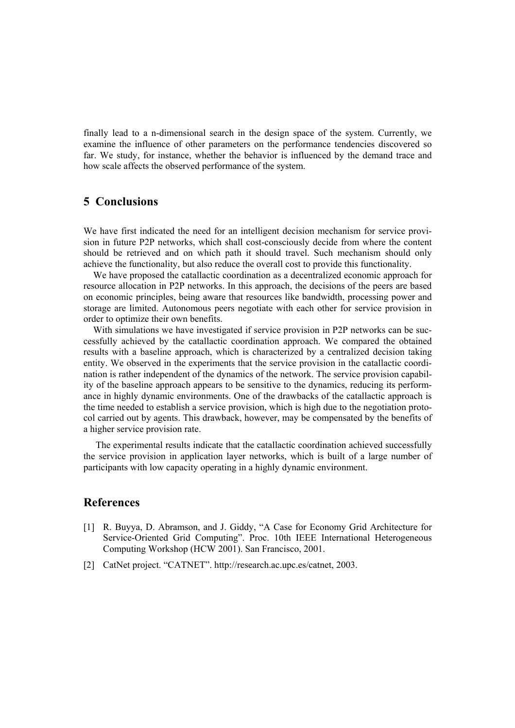finally lead to a n-dimensional search in the design space of the system. Currently, we examine the influence of other parameters on the performance tendencies discovered so far. We study, for instance, whether the behavior is influenced by the demand trace and how scale affects the observed performance of the system.

### **5 Conclusions**

We have first indicated the need for an intelligent decision mechanism for service provision in future P2P networks, which shall cost-consciously decide from where the content should be retrieved and on which path it should travel. Such mechanism should only achieve the functionality, but also reduce the overall cost to provide this functionality.

We have proposed the catallactic coordination as a decentralized economic approach for resource allocation in P2P networks. In this approach, the decisions of the peers are based on economic principles, being aware that resources like bandwidth, processing power and storage are limited. Autonomous peers negotiate with each other for service provision in order to optimize their own benefits.

With simulations we have investigated if service provision in P2P networks can be successfully achieved by the catallactic coordination approach. We compared the obtained results with a baseline approach, which is characterized by a centralized decision taking entity. We observed in the experiments that the service provision in the catallactic coordination is rather independent of the dynamics of the network. The service provision capability of the baseline approach appears to be sensitive to the dynamics, reducing its performance in highly dynamic environments. One of the drawbacks of the catallactic approach is the time needed to establish a service provision, which is high due to the negotiation protocol carried out by agents. This drawback, however, may be compensated by the benefits of a higher service provision rate.

The experimental results indicate that the catallactic coordination achieved successfully the service provision in application layer networks, which is built of a large number of participants with low capacity operating in a highly dynamic environment.

## **References**

- [1] R. Buyya, D. Abramson, and J. Giddy, "A Case for Economy Grid Architecture for Service-Oriented Grid Computing". Proc. 10th IEEE International Heterogeneous Computing Workshop (HCW 2001). San Francisco, 2001.
- [2] CatNet project. "CATNET". http://research.ac.upc.es/catnet, 2003.